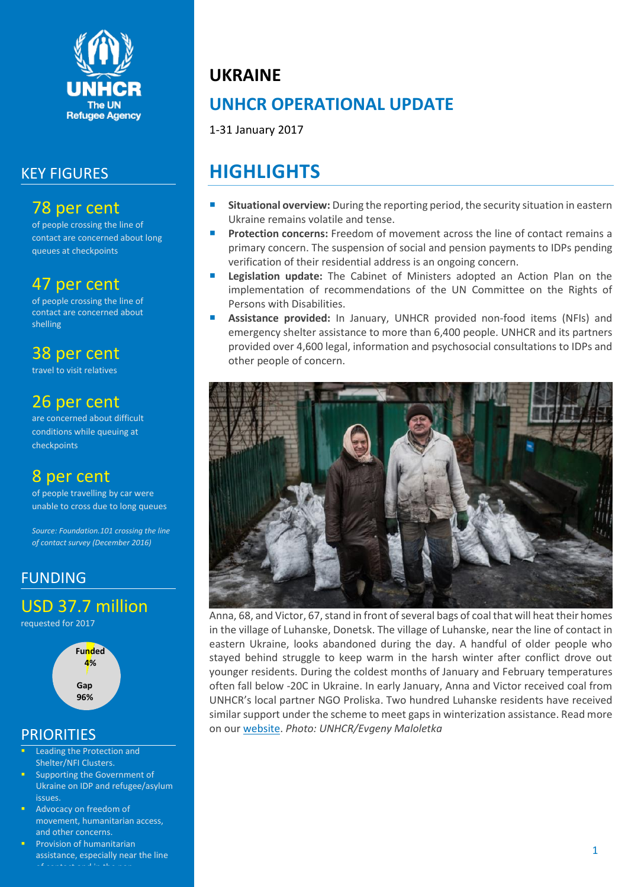

### KEY FIGURES

### 78 per cent

of people crossing the line of contact are concerned about long queues at checkpoints

### 47 per cent

of people crossing the line of contact are concerned about shelling

## 38 per cent

travel to visit relatives

# 26 per cent

are concerned about difficult conditions while queuing at checkpoints

## 8 per cent

of people travelling by car were unable to cross due to long queues

*Source: Foundation.101 crossing the line of contact survey (December 2016)*

### FUNDING

USD 37.7 million

requested for 2017



### **PRIORITIES**

- Leading the Protection and Shelter/NFI Clusters.
- Supporting the Government of Ukraine on IDP and refugee/asylum issues.
- Advocacy on freedom of movement, humanitarian access, and other concerns.
- Provision of humanitarian assistance, especially near the line

# **UKRAINE**

# **UNHCR OPERATIONAL UPDATE**

1-31 January 2017

# **HIGHLIGHTS**

- **Situational overview:** During the reporting period, the security situation in eastern Ukraine remains volatile and tense.
- **Protection concerns:** Freedom of movement across the line of contact remains a primary concern. The suspension of social and pension payments to IDPs pending verification of their residential address is an ongoing concern.
- **Legislation update:** The Cabinet of Ministers adopted an Action Plan on the implementation of recommendations of the UN Committee on the Rights of Persons with Disabilities.
- **Assistance provided:** In January, UNHCR provided non-food items (NFIs) and emergency shelter assistance to more than 6,400 people. UNHCR and its partners provided over 4,600 legal, information and psychosocial consultations to IDPs and other people of concern.



Anna, 68, and Victor, 67, stand in front of several bags of coal that will heat their homes in the village of Luhanske, Donetsk. The village of Luhanske, near the line of contact in eastern Ukraine, looks abandoned during the day. A handful of older people who stayed behind struggle to keep warm in the harsh winter after conflict drove out younger residents. During the coldest months of January and February temperatures often fall below -20C in Ukraine. In early January, Anna and Victor received coal from UNHCR's local partner NGO Proliska. Two hundred Luhanske residents have received similar support under the scheme to meet gaps in winterization assistance. Read more on ou[r website.](http://www.unhcr.org/news/stories/2017/2/58a454854/elderly-bear-brunt-hardship-frontline-ukraine-village.html) *Photo: UNHCR/Evgeny Maloletka*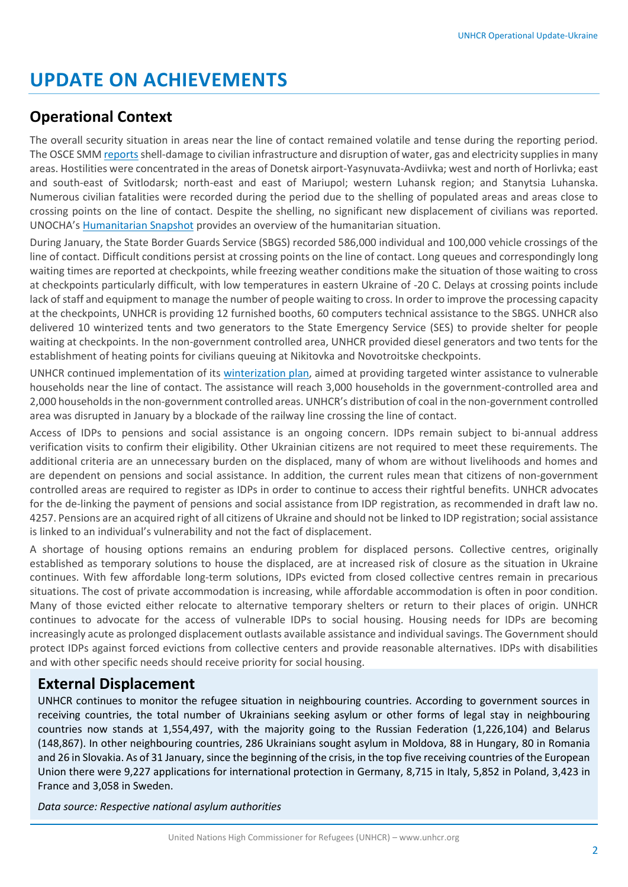# **UPDATE ON ACHIEVEMENTS**

### **Operational Context**

The overall security situation in areas near the line of contact remained volatile and tense during the reporting period. The OSCE SM[M reports](http://www.osce.org/ukraine-smm/295681?download=true) shell-damage to civilian infrastructure and disruption of water, gas and electricity supplies in many areas. Hostilities were concentrated in the areas of Donetsk airport-Yasynuvata-Avdiivka; west and north of Horlivka; east and south-east of Svitlodarsk; north-east and east of Mariupol; western Luhansk region; and Stanytsia Luhanska. Numerous civilian fatalities were recorded during the period due to the shelling of populated areas and areas close to crossing points on the line of contact. Despite the shelling, no significant new displacement of civilians was reported. UNOCHA's [Humanitarian Snapshot](https://www.humanitarianresponse.info/system/files/documents/files/ukraine_humanitarian_snapshot_20170202-en_0.pdf) provides an overview of the humanitarian situation.

During January, the State Border Guards Service (SBGS) recorded 586,000 individual and 100,000 vehicle crossings of the line of contact. Difficult conditions persist at crossing points on the line of contact. Long queues and correspondingly long waiting times are reported at checkpoints, while freezing weather conditions make the situation of those waiting to cross at checkpoints particularly difficult, with low temperatures in eastern Ukraine of -20 C. Delays at crossing points include lack of staff and equipment to manage the number of people waiting to cross. In order to improve the processing capacity at the checkpoints, UNHCR is providing 12 furnished booths, 60 computers technical assistance to the SBGS. UNHCR also delivered 10 winterized tents and two generators to the State Emergency Service (SES) to provide shelter for people waiting at checkpoints. In the non-government controlled area, UNHCR provided diesel generators and two tents for the establishment of heating points for civilians queuing at Nikitovka and Novotroitske checkpoints.

UNHCR continued implementation of its [winterization plan,](http://unhcr.org.ua/attachments/article/1516/2016%2011%20UNHCR%20UKRAINE%20winterization%20Plan%202016-2017%20FINAL%20EN.jpg) aimed at providing targeted winter assistance to vulnerable households near the line of contact. The assistance will reach 3,000 households in the government-controlled area and 2,000 households in the non-government controlled areas. UNHCR's distribution of coal in the non-government controlled area was disrupted in January by a blockade of the railway line crossing the line of contact.

Access of IDPs to pensions and social assistance is an ongoing concern. IDPs remain subject to bi-annual address verification visits to confirm their eligibility. Other Ukrainian citizens are not required to meet these requirements. The additional criteria are an unnecessary burden on the displaced, many of whom are without livelihoods and homes and are dependent on pensions and social assistance. In addition, the current rules mean that citizens of non-government controlled areas are required to register as IDPs in order to continue to access their rightful benefits. UNHCR advocates for the de-linking the payment of pensions and social assistance from IDP registration, as recommended in draft law no. 4257. Pensions are an acquired right of all citizens of Ukraine and should not be linked to IDP registration; social assistance is linked to an individual's vulnerability and not the fact of displacement.

A shortage of housing options remains an enduring problem for displaced persons. Collective centres, originally established as temporary solutions to house the displaced, are at increased risk of closure as the situation in Ukraine continues. With few affordable long-term solutions, IDPs evicted from closed collective centres remain in precarious situations. The cost of private accommodation is increasing, while affordable accommodation is often in poor condition. Many of those evicted either relocate to alternative temporary shelters or return to their places of origin. UNHCR continues to advocate for the access of vulnerable IDPs to social housing. Housing needs for IDPs are becoming increasingly acute as prolonged displacement outlasts available assistance and individual savings. The Government should protect IDPs against forced evictions from collective centers and provide reasonable alternatives. IDPs with disabilities and with other specific needs should receive priority for social housing.

#### **External Displacement**

UNHCR continues to monitor the refugee situation in neighbouring countries. According to government sources in receiving countries, the total number of Ukrainians seeking asylum or other forms of legal stay in neighbouring countries now stands at 1,554,497, with the majority going to the Russian Federation (1,226,104) and Belarus (148,867). In other neighbouring countries, 286 Ukrainians sought asylum in Moldova, 88 in Hungary, 80 in Romania and 26 in Slovakia. As of 31 January, since the beginning of the crisis, in the top five receiving countries of the European Union there were 9,227 applications for international protection in Germany, 8,715 in Italy, 5,852 in Poland, 3,423 in France and 3,058 in Sweden.

*Data source: Respective national asylum authorities*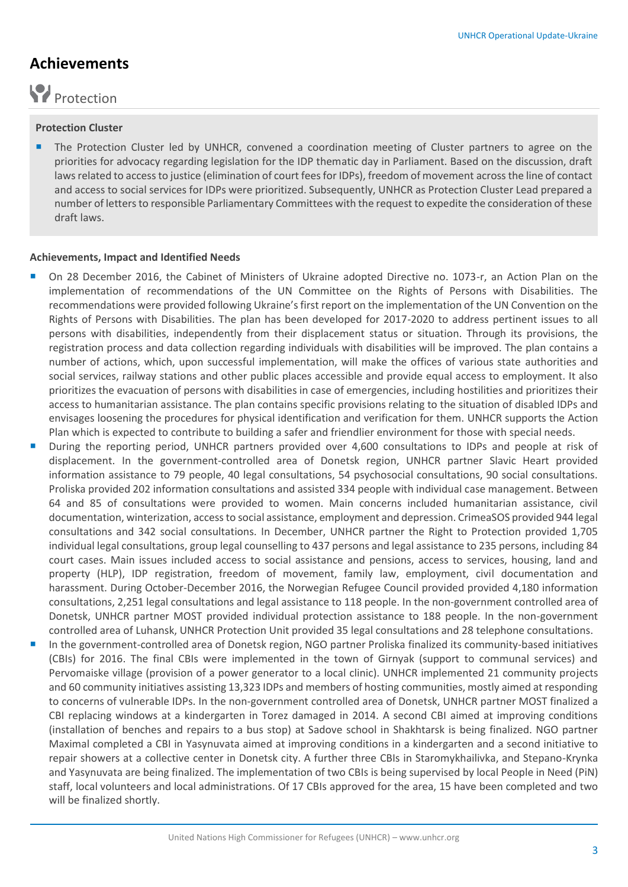### **Achievements**

# Protection

#### **Protection Cluster**

**The Protection Cluster led by UNHCR, convened a coordination meeting of Cluster partners to agree on the** priorities for advocacy regarding legislation for the IDP thematic day in Parliament. Based on the discussion, draft laws related to access to justice (elimination of court fees for IDPs), freedom of movement across the line of contact and access to social services for IDPs were prioritized. Subsequently, UNHCR as Protection Cluster Lead prepared a number of letters to responsible Parliamentary Committees with the request to expedite the consideration of these draft laws.

#### **Achievements, Impact and Identified Needs**

- On 28 December 2016, the Cabinet of Ministers of Ukraine adopted Directive no. 1073-r, an Action Plan on the implementation of recommendations of the UN Committee on the Rights of Persons with Disabilities. The recommendations were provided following Ukraine's first report on the implementation of the UN Convention on the Rights of Persons with Disabilities. The plan has been developed for 2017-2020 to address pertinent issues to all persons with disabilities, independently from their displacement status or situation. Through its provisions, the registration process and data collection regarding individuals with disabilities will be improved. The plan contains a number of actions, which, upon successful implementation, will make the offices of various state authorities and social services, railway stations and other public places accessible and provide equal access to employment. It also prioritizes the evacuation of persons with disabilities in case of emergencies, including hostilities and prioritizes their access to humanitarian assistance. The plan contains specific provisions relating to the situation of disabled IDPs and envisages loosening the procedures for physical identification and verification for them. UNHCR supports the Action Plan which is expected to contribute to building a safer and friendlier environment for those with special needs.
- During the reporting period, UNHCR partners provided over 4,600 consultations to IDPs and people at risk of displacement. In the government-controlled area of Donetsk region, UNHCR partner Slavic Heart provided information assistance to 79 people, 40 legal consultations, 54 psychosocial consultations, 90 social consultations. Proliska provided 202 information consultations and assisted 334 people with individual case management. Between 64 and 85 of consultations were provided to women. Main concerns included humanitarian assistance, civil documentation, winterization, access to social assistance, employment and depression. CrimeaSOS provided 944 legal consultations and 342 social consultations. In December, UNHCR partner the Right to Protection provided 1,705 individual legal consultations, group legal counselling to 437 persons and legal assistance to 235 persons, including 84 court cases. Main issues included access to social assistance and pensions, access to services, housing, land and property (HLP), IDP registration, freedom of movement, family law, employment, civil documentation and harassment. During October-December 2016, the Norwegian Refugee Council provided provided 4,180 information consultations, 2,251 legal consultations and legal assistance to 118 people. In the non-government controlled area of Donetsk, UNHCR partner MOST provided individual protection assistance to 188 people. In the non-government controlled area of Luhansk, UNHCR Protection Unit provided 35 legal consultations and 28 telephone consultations.
- In the government-controlled area of Donetsk region, NGO partner Proliska finalized its community-based initiatives (CBIs) for 2016. The final CBIs were implemented in the town of Girnyak (support to communal services) and Pervomaiske village (provision of a power generator to a local clinic). UNHCR implemented 21 community projects and 60 community initiatives assisting 13,323 IDPs and members of hosting communities, mostly aimed at responding to concerns of vulnerable IDPs. In the non-government controlled area of Donetsk, UNHCR partner MOST finalized a CBI replacing windows at a kindergarten in Torez damaged in 2014. A second CBI aimed at improving conditions (installation of benches and repairs to a bus stop) at Sadove school in Shakhtarsk is being finalized. NGO partner Maximal completed a CBI in Yasynuvata aimed at improving conditions in a kindergarten and a second initiative to repair showers at a collective center in Donetsk city. A further three CBIs in Staromykhailivka, and Stepano-Krynka and Yasynuvata are being finalized. The implementation of two CBIs is being supervised by local People in Need (PiN) staff, local volunteers and local administrations. Of 17 CBIs approved for the area, 15 have been completed and two will be finalized shortly.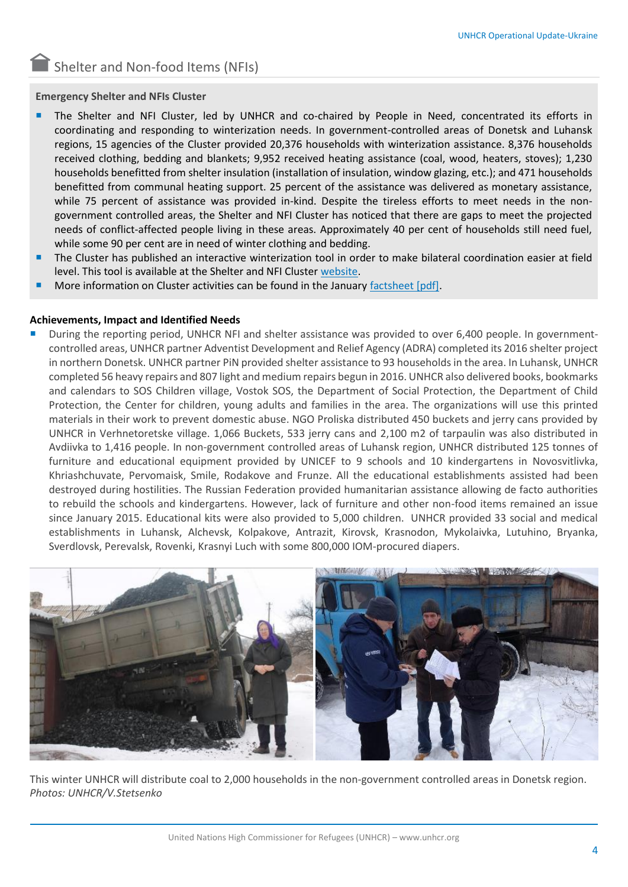Shelter and Non-food Items (NFIs)

#### **Emergency Shelter and NFIs Cluster**

- The Shelter and NFI Cluster, led by UNHCR and co-chaired by People in Need, concentrated its efforts in coordinating and responding to winterization needs. In government-controlled areas of Donetsk and Luhansk regions, 15 agencies of the Cluster provided 20,376 households with winterization assistance. 8,376 households received clothing, bedding and blankets; 9,952 received heating assistance (coal, wood, heaters, stoves); 1,230 households benefitted from shelter insulation (installation of insulation, window glazing, etc.); and 471 households benefitted from communal heating support. 25 percent of the assistance was delivered as monetary assistance, while 75 percent of assistance was provided in-kind. Despite the tireless efforts to meet needs in the nongovernment controlled areas, the Shelter and NFI Cluster has noticed that there are gaps to meet the projected needs of conflict-affected people living in these areas. Approximately 40 per cent of households still need fuel, while some 90 per cent are in need of winter clothing and bedding.
- The Cluster has published an interactive winterization tool in order to make bilateral coordination easier at field level. This tool is available at the Shelter and NFI Cluster [website.](https://www.sheltercluster.org/northern-donbas/page/winterization-coverage-government-controlled-areas-ukraine)
- More information on Cluster activities can be found in the Januar[y factsheet \[pdf\].](http://www.sheltercluster.org/sites/default/files/docs/factsheet_january_2017_eng_final.pdf)

#### **Achievements, Impact and Identified Needs**

 During the reporting period, UNHCR NFI and shelter assistance was provided to over 6,400 people. In governmentcontrolled areas, UNHCR partner Adventist Development and Relief Agency (ADRA) completed its 2016 shelter project in northern Donetsk. UNHCR partner PiN provided shelter assistance to 93 households in the area. In Luhansk, UNHCR completed 56 heavy repairs and 807 light and medium repairs begun in 2016. UNHCR also delivered books, bookmarks and calendars to SOS Children village, Vostok SOS, the Department of Social Protection, the Department of Child Protection, the Center for children, young adults and families in the area. The organizations will use this printed materials in their work to prevent domestic abuse. NGO Proliska distributed 450 buckets and jerry cans provided by UNHCR in Verhnetoretske village. 1,066 Buckets, 533 jerry cans and 2,100 m2 of tarpaulin was also distributed in Avdiivka to 1,416 people. In non-government controlled areas of Luhansk region, UNHCR distributed 125 tonnes of furniture and educational equipment provided by UNICEF to 9 schools and 10 kindergartens in Novosvitlivka, Khriashchuvate, Pervomaisk, Smile, Rodakove and Frunze. All the educational establishments assisted had been destroyed during hostilities. The Russian Federation provided humanitarian assistance allowing de facto authorities to rebuild the schools and kindergartens. However, lack of furniture and other non-food items remained an issue since January 2015. Educational kits were also provided to 5,000 children. UNHCR provided 33 social and medical establishments in Luhansk, Alchevsk, Kolpakove, Antrazit, Kirovsk, Krasnodon, Mykolaivka, Lutuhino, Bryanka, Sverdlovsk, Perevalsk, Rovenki, Krasnyi Luch with some 800,000 IOM-procured diapers.



This winter UNHCR will distribute coal to 2,000 households in the non-government controlled areas in Donetsk region. *Photos: UNHCR/V.Stetsenko*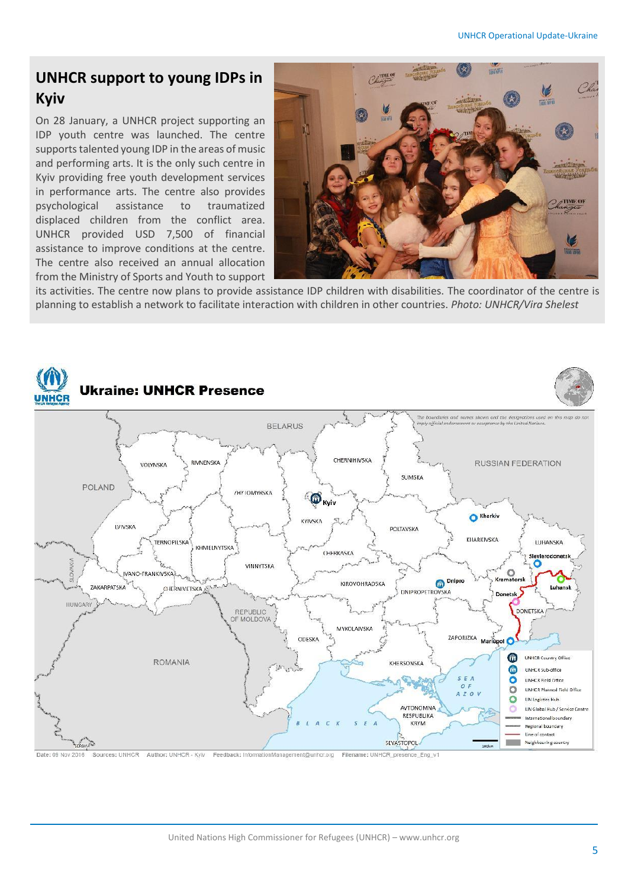### **UNHCR support to young IDPs in Kyiv**

On 28 January, a UNHCR project supporting an IDP youth centre was launched. The centre supports talented young IDP in the areas of music and performing arts. It is the only such centre in Kyiv providing free youth development services in performance arts. The centre also provides psychological assistance to traumatized displaced children from the conflict area. UNHCR provided USD 7,500 of financial assistance to improve conditions at the centre. The centre also received an annual allocation from the Ministry of Sports and Youth to support



its activities. The centre now plans to provide assistance IDP children with disabilities. The coordinator of the centre is planning to establish a network to facilitate interaction with children in other countries. *Photo: UNHCR/Vira Shelest*



United Nations High Commissioner for Refugees (UNHCR) – www.unhcr.org